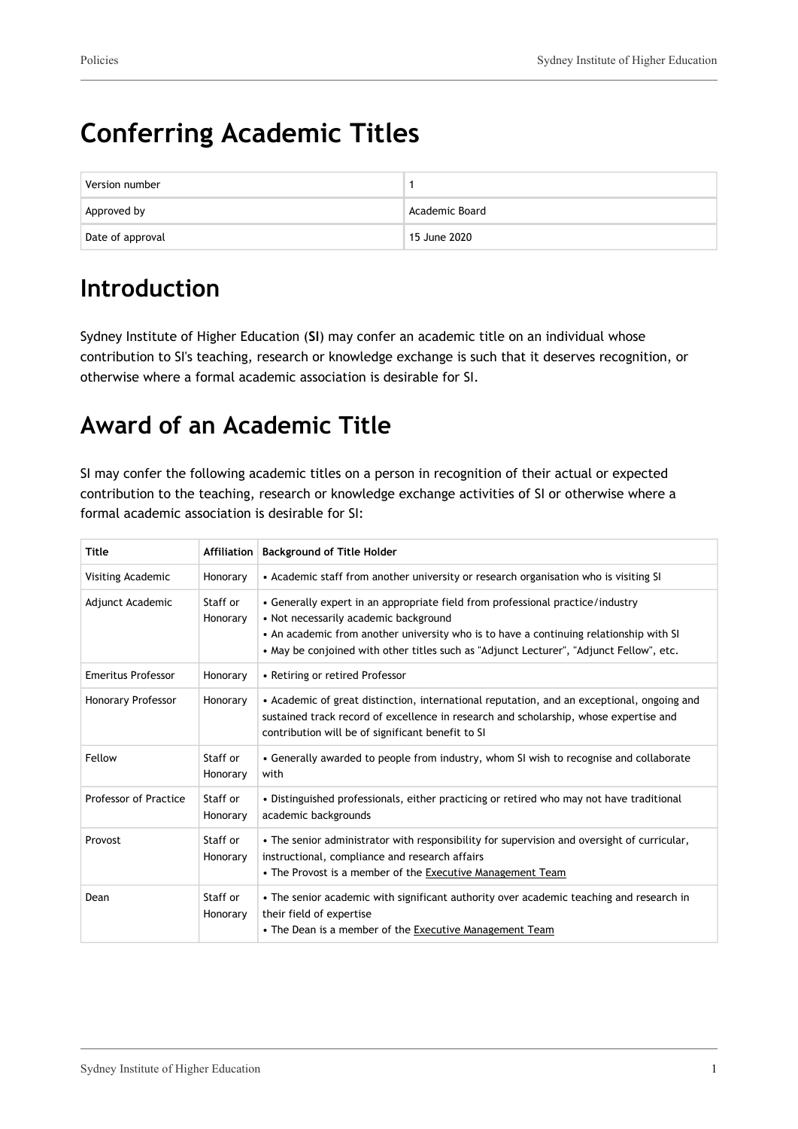# **Conferring Academic Titles**

| Version number   |                |
|------------------|----------------|
| Approved by      | Academic Board |
| Date of approval | 15 June 2020   |

### **Introduction**

Sydney Institute of Higher Education (**SI**) may confer an academic title on an individual whose contribution to SI's teaching, research or knowledge exchange is such that it deserves recognition, or otherwise where a formal academic association is desirable for SI.

## **Award of an Academic Title**

SI may confer the following academic titles on a person in recognition of their actual or expected contribution to the teaching, research or knowledge exchange activities of SI or otherwise where a formal academic association is desirable for SI:

| <b>Title</b>              | Affiliation          | <b>Background of Title Holder</b>                                                                                                                                                                                                                                                                            |  |
|---------------------------|----------------------|--------------------------------------------------------------------------------------------------------------------------------------------------------------------------------------------------------------------------------------------------------------------------------------------------------------|--|
| Visiting Academic         | Honorary             | • Academic staff from another university or research organisation who is visiting SI                                                                                                                                                                                                                         |  |
| Adjunct Academic          | Staff or<br>Honorary | • Generally expert in an appropriate field from professional practice/industry<br>• Not necessarily academic background<br>• An academic from another university who is to have a continuing relationship with SI<br>• May be conjoined with other titles such as "Adjunct Lecturer", "Adjunct Fellow", etc. |  |
| <b>Emeritus Professor</b> | Honorary             | • Retiring or retired Professor                                                                                                                                                                                                                                                                              |  |
| <b>Honorary Professor</b> | Honorary             | • Academic of great distinction, international reputation, and an exceptional, ongoing and<br>sustained track record of excellence in research and scholarship, whose expertise and<br>contribution will be of significant benefit to SI                                                                     |  |
| Fellow                    | Staff or<br>Honorary | • Generally awarded to people from industry, whom SI wish to recognise and collaborate<br>with                                                                                                                                                                                                               |  |
| Professor of Practice     | Staff or<br>Honorary | • Distinguished professionals, either practicing or retired who may not have traditional<br>academic backgrounds                                                                                                                                                                                             |  |
| Provost                   | Staff or<br>Honorary | . The senior administrator with responsibility for supervision and oversight of curricular,<br>instructional, compliance and research affairs<br>• The Provost is a member of the Executive Management Team                                                                                                  |  |
| Dean                      | Staff or<br>Honorary | • The senior academic with significant authority over academic teaching and research in<br>their field of expertise<br>• The Dean is a member of the Executive Management Team                                                                                                                               |  |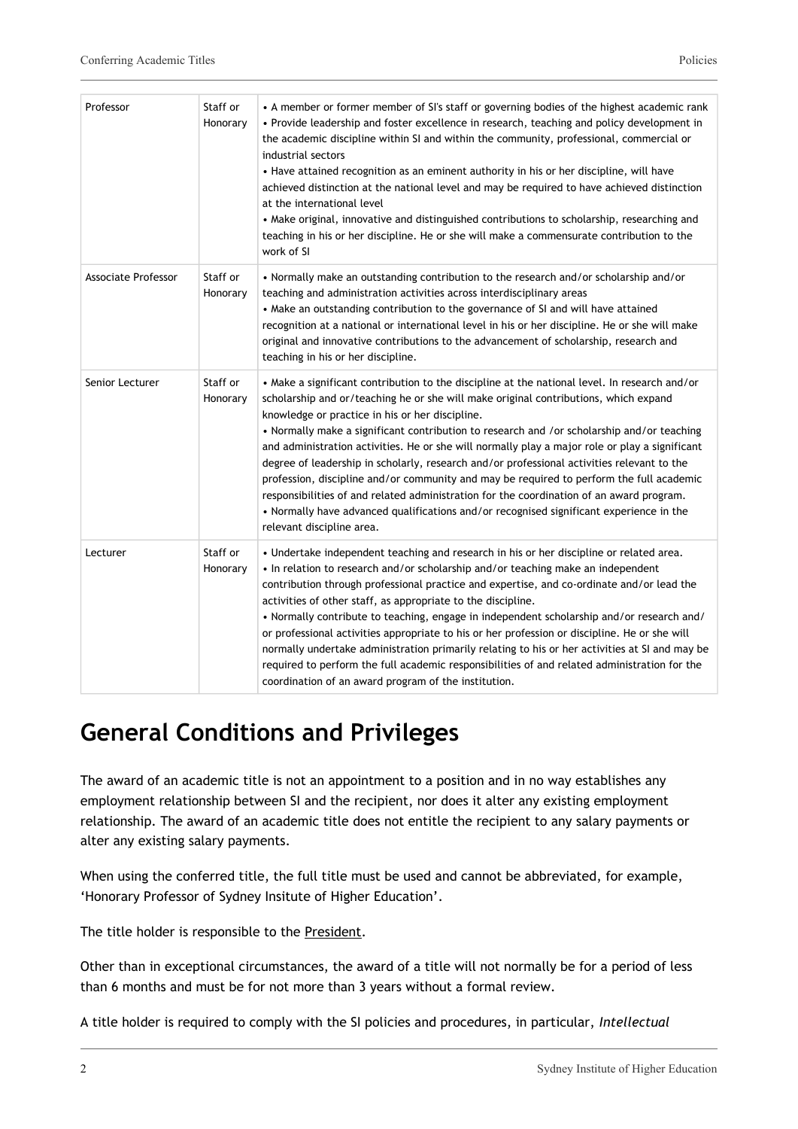| Professor                  | Staff or<br>Honorary | • A member or former member of SI's staff or governing bodies of the highest academic rank<br>• Provide leadership and foster excellence in research, teaching and policy development in<br>the academic discipline within SI and within the community, professional, commercial or<br>industrial sectors<br>• Have attained recognition as an eminent authority in his or her discipline, will have<br>achieved distinction at the national level and may be required to have achieved distinction<br>at the international level<br>• Make original, innovative and distinguished contributions to scholarship, researching and<br>teaching in his or her discipline. He or she will make a commensurate contribution to the<br>work of SI                                                                                                            |
|----------------------------|----------------------|--------------------------------------------------------------------------------------------------------------------------------------------------------------------------------------------------------------------------------------------------------------------------------------------------------------------------------------------------------------------------------------------------------------------------------------------------------------------------------------------------------------------------------------------------------------------------------------------------------------------------------------------------------------------------------------------------------------------------------------------------------------------------------------------------------------------------------------------------------|
| <b>Associate Professor</b> | Staff or<br>Honorary | • Normally make an outstanding contribution to the research and/or scholarship and/or<br>teaching and administration activities across interdisciplinary areas<br>• Make an outstanding contribution to the governance of SI and will have attained<br>recognition at a national or international level in his or her discipline. He or she will make<br>original and innovative contributions to the advancement of scholarship, research and<br>teaching in his or her discipline.                                                                                                                                                                                                                                                                                                                                                                   |
| Senior Lecturer            | Staff or<br>Honorary | • Make a significant contribution to the discipline at the national level. In research and/or<br>scholarship and or/teaching he or she will make original contributions, which expand<br>knowledge or practice in his or her discipline.<br>• Normally make a significant contribution to research and /or scholarship and/or teaching<br>and administration activities. He or she will normally play a major role or play a significant<br>degree of leadership in scholarly, research and/or professional activities relevant to the<br>profession, discipline and/or community and may be required to perform the full academic<br>responsibilities of and related administration for the coordination of an award program.<br>• Normally have advanced qualifications and/or recognised significant experience in the<br>relevant discipline area. |
| Lecturer                   | Staff or<br>Honorary | . Undertake independent teaching and research in his or her discipline or related area.<br>. In relation to research and/or scholarship and/or teaching make an independent<br>contribution through professional practice and expertise, and co-ordinate and/or lead the<br>activities of other staff, as appropriate to the discipline.<br>• Normally contribute to teaching, engage in independent scholarship and/or research and/<br>or professional activities appropriate to his or her profession or discipline. He or she will<br>normally undertake administration primarily relating to his or her activities at SI and may be<br>required to perform the full academic responsibilities of and related administration for the<br>coordination of an award program of the institution.                                                       |

### **General Conditions and Privileges**

The award of an academic title is not an appointment to a position and in no way establishes any employment relationship between SI and the recipient, nor does it alter any existing employment relationship. The award of an academic title does not entitle the recipient to any salary payments or alter any existing salary payments.

When using the conferred title, the full title must be used and cannot be abbreviated, for example, 'Honorary Professor of Sydney Insitute of Higher Education'.

The title holder is responsible to the President.

Other than in exceptional circumstances, the award of a title will not normally be for a period of less than 6 months and must be for not more than 3 years without a formal review.

A title holder is required to comply with the SI policies and procedures, in particular, *Intellectual*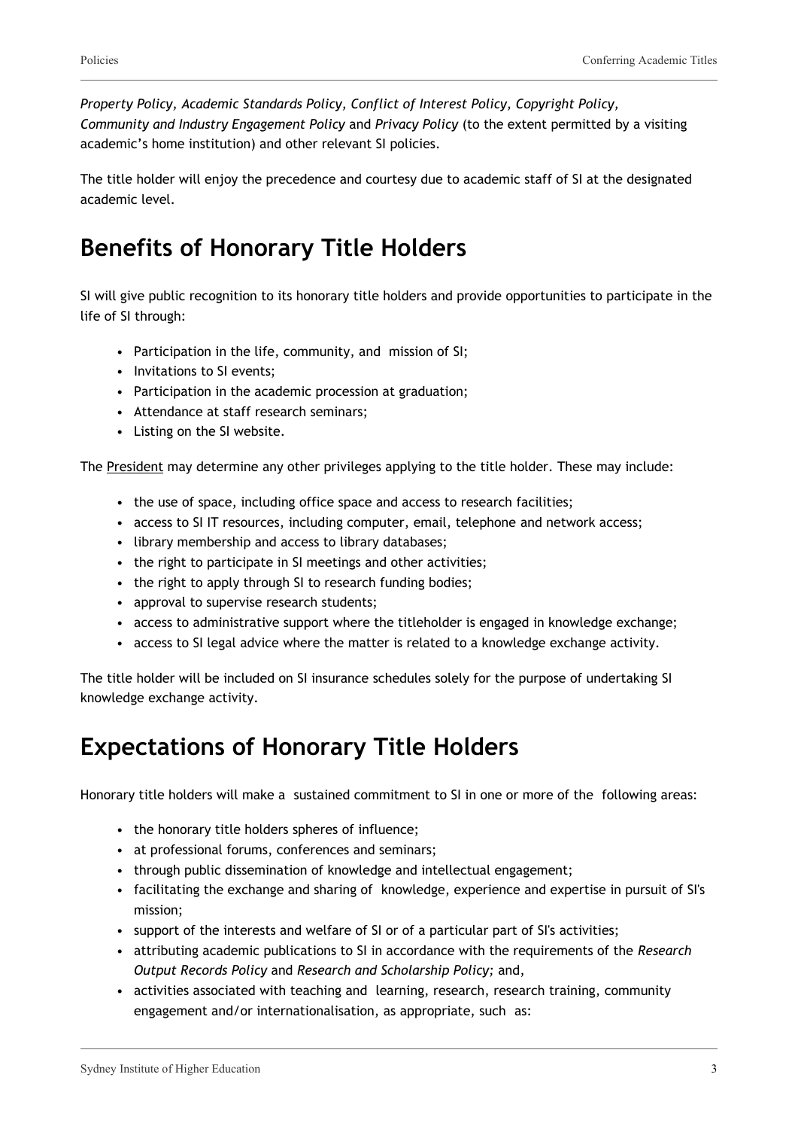*Property Policy, Academic Standards Policy, Conflict of Interest Policy, Copyright Policy, Community and Industry Engagement Policy* and *Privacy Policy* (to the extent permitted by a visiting academic's home institution) and other relevant SI policies.

The title holder will enjoy the precedence and courtesy due to academic staff of SI at the designated academic level.

### **Benefits of Honorary Title Holders**

SI will give public recognition to its honorary title holders and provide opportunities to participate in the life of SI through:

- Participation in the life, community, and mission of SI;
- Invitations to SI events;
- Participation in the academic procession at graduation;
- Attendance at staff research seminars;
- Listing on the SI website.

The President may determine any other privileges applying to the title holder. These may include:

- the use of space, including office space and access to research facilities;
- access to SI IT resources, including computer, email, telephone and network access;
- library membership and access to library databases;
- the right to participate in SI meetings and other activities;
- the right to apply through SI to research funding bodies;
- approval to supervise research students;
- access to administrative support where the titleholder is engaged in knowledge exchange;
- access to SI legal advice where the matter is related to a knowledge exchange activity.

The title holder will be included on SI insurance schedules solely for the purpose of undertaking SI knowledge exchange activity.

#### **Expectations of Honorary Title Holders**

Honorary title holders will make a sustained commitment to SI in one or more of the following areas:

- the honorary title holders spheres of influence;
- at professional forums, conferences and seminars;
- through public dissemination of knowledge and intellectual engagement;
- facilitating the exchange and sharing of knowledge, experience and expertise in pursuit of SI's mission;
- support of the interests and welfare of SI or of a particular part of SI's activities;
- attributing academic publications to SI in accordance with the requirements of the *Research Output Records Policy* and *Research and Scholarship Policy;* and,
- activities associated with teaching and learning, research, research training, community engagement and/or internationalisation, as appropriate, such as: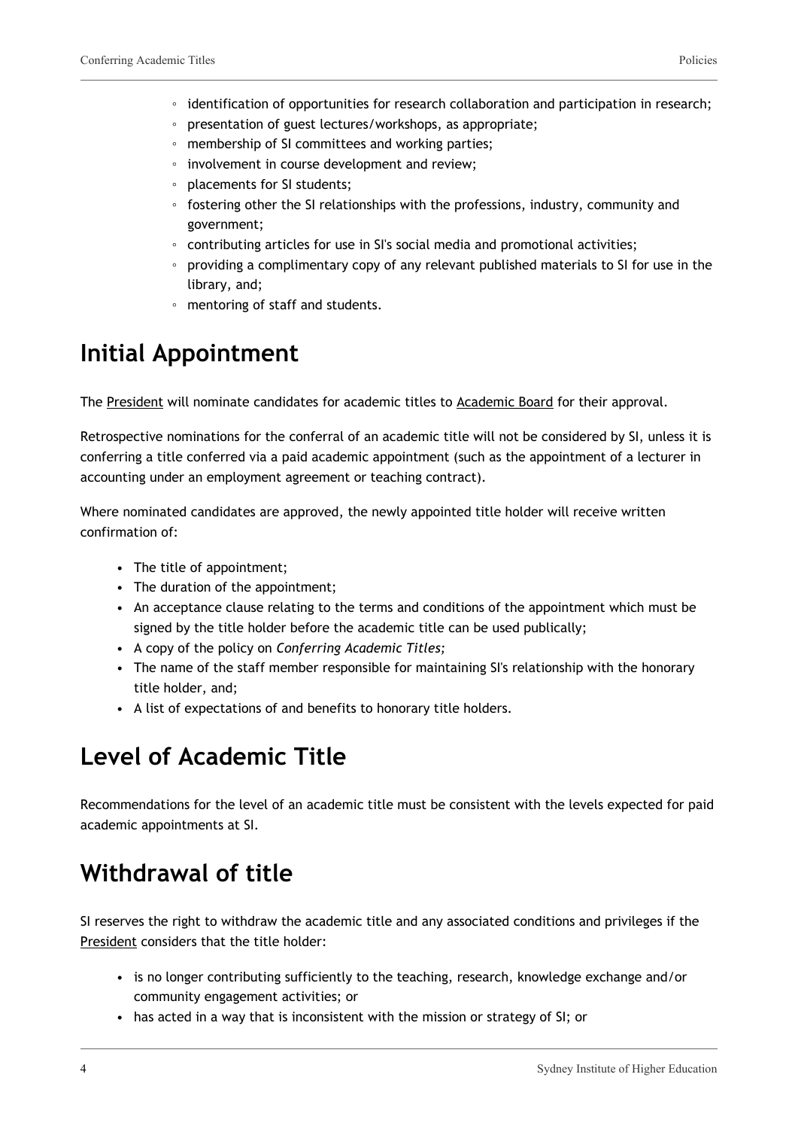- identification of opportunities for research collaboration and participation in research;
- presentation of guest lectures/workshops, as appropriate;
- membership of SI committees and working parties;
- involvement in course development and review;
- placements for SI students;
- fostering other the SI relationships with the professions, industry, community and government;
- contributing articles for use in SI's social media and promotional activities;
- providing a complimentary copy of any relevant published materials to SI for use in the library, and;
- mentoring of staff and students.

#### **Initial Appointment**

The President will nominate candidates for academic titles to Academic Board for their approval.

Retrospective nominations for the conferral of an academic title will not be considered by SI, unless it is conferring a title conferred via a paid academic appointment (such as the appointment of a lecturer in accounting under an employment agreement or teaching contract).

Where nominated candidates are approved, the newly appointed title holder will receive written confirmation of:

- The title of appointment;
- The duration of the appointment;
- An acceptance clause relating to the terms and conditions of the appointment which must be signed by the title holder before the academic title can be used publically;
- A copy of the policy on *Conferring Academic Titles;*
- The name of the staff member responsible for maintaining SI's relationship with the honorary title holder, and;
- A list of expectations of and benefits to honorary title holders.

#### **Level of Academic Title**

Recommendations for the level of an academic title must be consistent with the levels expected for paid academic appointments at SI.

### **Withdrawal of title**

SI reserves the right to withdraw the academic title and any associated conditions and privileges if the President considers that the title holder:

- is no longer contributing sufficiently to the teaching, research, knowledge exchange and/or community engagement activities; or
- has acted in a way that is inconsistent with the mission or strategy of SI; or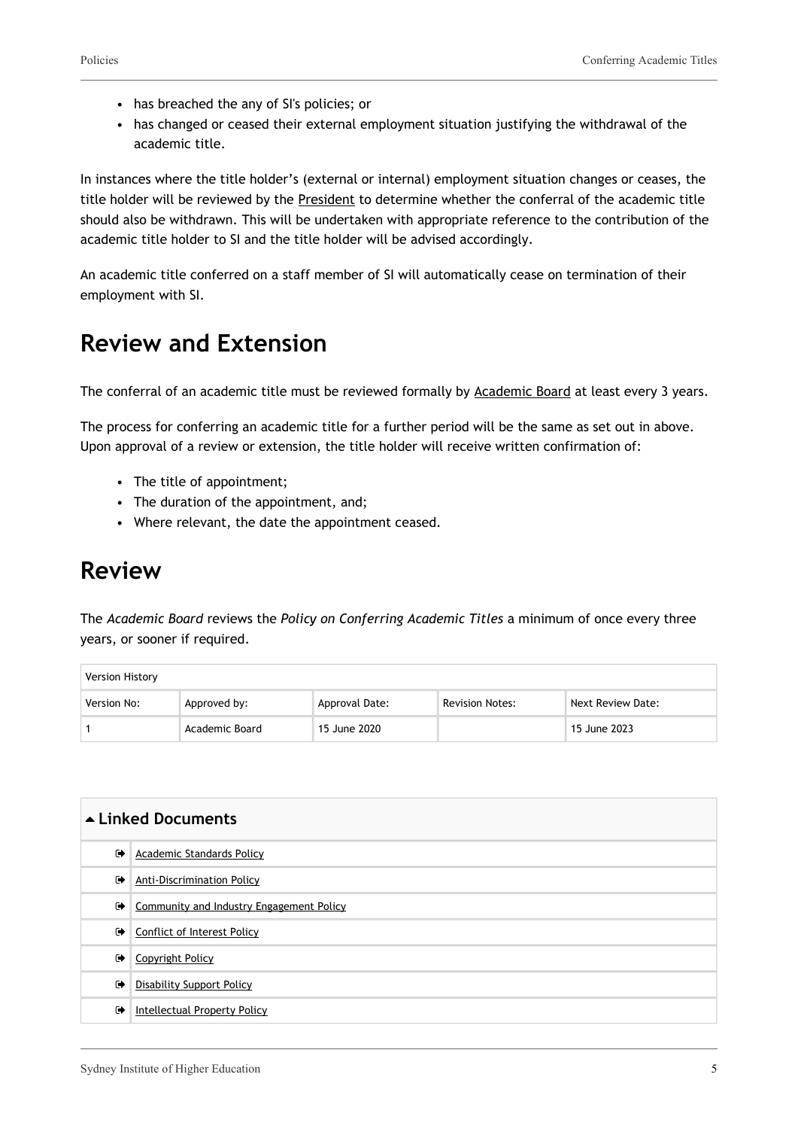- has breached the any of SI's policies; or
- has changed or ceased their external employment situation justifying the withdrawal of the academic title.

In instances where the title holder's (external or internal) employment situation changes or ceases, the title holder will be reviewed by the President to determine whether the conferral of the academic title should also be withdrawn. This will be undertaken with appropriate reference to the contribution of the academic title holder to SI and the title holder will be advised accordingly.

An academic title conferred on a staff member of SI will automatically cease on termination of their employment with SI.

#### **Review and Extension**

The conferral of an academic title must be reviewed formally by Academic Board at least every 3 years.

The process for conferring an academic title for a further period will be the same as set out in above. Upon approval of a review or extension, the title holder will receive written confirmation of:

- The title of appointment;
- The duration of the appointment, and;
- Where relevant, the date the appointment ceased.

#### **Review**

The *Academic Board* reviews the *Policy on Conferring Academic Titles* a minimum of once every three years, or sooner if required.

| Version History |                |                |                        |                   |
|-----------------|----------------|----------------|------------------------|-------------------|
| Version No:     | Approved by:   | Approval Date: | <b>Revision Notes:</b> | Next Review Date: |
|                 | Academic Board | 15 June 2020   |                        | 15 June 2023      |

| ▲ Linked Documents |                                          |  |
|--------------------|------------------------------------------|--|
| $\bullet$          | Academic Standards Policy                |  |
| $\bullet$          | <b>Anti-Discrimination Policy</b>        |  |
| ☞                  | Community and Industry Engagement Policy |  |
| $\bullet$          | <b>Conflict of Interest Policy</b>       |  |
| $\bullet$          | Copyright Policy                         |  |
| $\bullet$          | <b>Disability Support Policy</b>         |  |
| $\bullet$          | Intellectual Property Policy             |  |